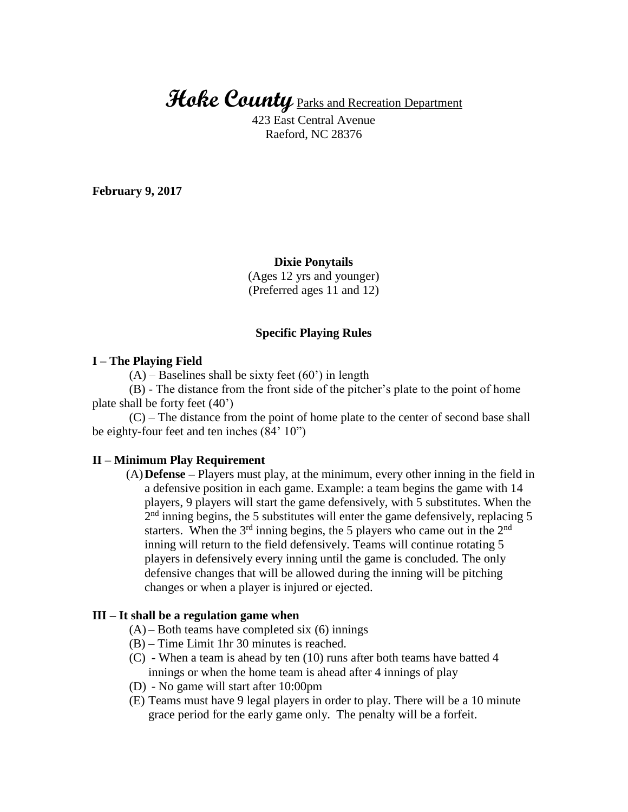# **Hoke County** Parks and Recreation Department

423 East Central Avenue Raeford, NC 28376

**February 9, 2017**

### **Dixie Ponytails**

(Ages 12 yrs and younger) (Preferred ages 11 and 12)

### **Specific Playing Rules**

## **I – The Playing Field**

 $(A)$  – Baselines shall be sixty feet  $(60)$  in length

(B) - The distance from the front side of the pitcher's plate to the point of home plate shall be forty feet (40')

(C) – The distance from the point of home plate to the center of second base shall be eighty-four feet and ten inches (84' 10")

#### **II – Minimum Play Requirement**

(A)**Defense –** Players must play, at the minimum, every other inning in the field in a defensive position in each game. Example: a team begins the game with 14 players, 9 players will start the game defensively, with 5 substitutes. When the  $2<sup>nd</sup>$  inning begins, the 5 substitutes will enter the game defensively, replacing 5 starters. When the  $3<sup>rd</sup>$  inning begins, the 5 players who came out in the  $2<sup>nd</sup>$ inning will return to the field defensively. Teams will continue rotating 5 players in defensively every inning until the game is concluded. The only defensive changes that will be allowed during the inning will be pitching changes or when a player is injured or ejected.

### **III – It shall be a regulation game when**

- $(A)$  Both teams have completed six  $(6)$  innings
- (B) Time Limit 1hr 30 minutes is reached.
- (C) When a team is ahead by ten (10) runs after both teams have batted 4 innings or when the home team is ahead after 4 innings of play
- (D) No game will start after 10:00pm
- (E) Teams must have 9 legal players in order to play. There will be a 10 minute grace period for the early game only. The penalty will be a forfeit.